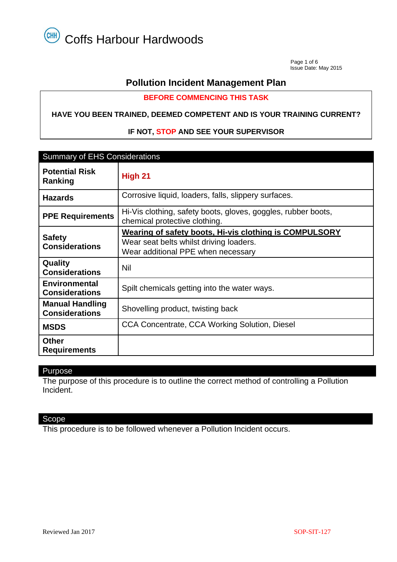Page 1 of 6 Issue Date: May 2015

## **Pollution Incident Management Plan**

**BEFORE COMMENCING THIS TASK**

#### **HAVE YOU BEEN TRAINED, DEEMED COMPETENT AND IS YOUR TRAINING CURRENT?**

#### **IF NOT, STOP AND SEE YOUR SUPERVISOR**

| <b>Summary of EHS Considerations</b>            |                                                                                                                                         |  |  |  |
|-------------------------------------------------|-----------------------------------------------------------------------------------------------------------------------------------------|--|--|--|
| <b>Potential Risk</b><br>Ranking                | High 21                                                                                                                                 |  |  |  |
| <b>Hazards</b>                                  | Corrosive liquid, loaders, falls, slippery surfaces.                                                                                    |  |  |  |
| <b>PPE Requirements</b>                         | Hi-Vis clothing, safety boots, gloves, goggles, rubber boots,<br>chemical protective clothing.                                          |  |  |  |
| <b>Safety</b><br><b>Considerations</b>          | Wearing of safety boots, Hi-vis clothing is COMPULSORY<br>Wear seat belts whilst driving loaders.<br>Wear additional PPE when necessary |  |  |  |
| Quality<br><b>Considerations</b>                | Nil                                                                                                                                     |  |  |  |
| <b>Environmental</b><br><b>Considerations</b>   | Spilt chemicals getting into the water ways.                                                                                            |  |  |  |
| <b>Manual Handling</b><br><b>Considerations</b> | Shovelling product, twisting back                                                                                                       |  |  |  |
| <b>MSDS</b>                                     | CCA Concentrate, CCA Working Solution, Diesel                                                                                           |  |  |  |
| <b>Other</b><br><b>Requirements</b>             |                                                                                                                                         |  |  |  |

#### Purpose

The purpose of this procedure is to outline the correct method of controlling a Pollution Incident.

#### Scope

This procedure is to be followed whenever a Pollution Incident occurs.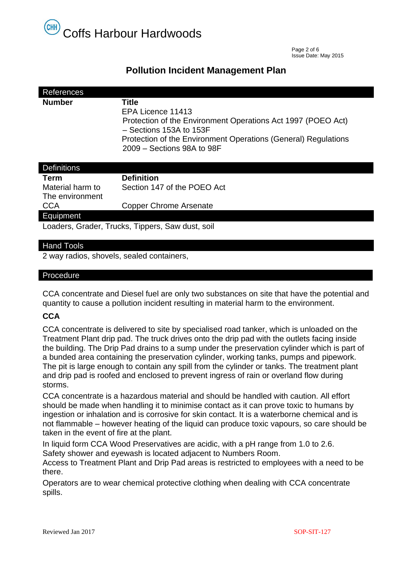

 Page 2 of 6 Issue Date: May 2015

### **Pollution Incident Management Plan**

| References                                       |                                                                                                |  |  |  |
|--------------------------------------------------|------------------------------------------------------------------------------------------------|--|--|--|
| <b>Number</b>                                    | Title                                                                                          |  |  |  |
|                                                  | EPA Licence 11413                                                                              |  |  |  |
|                                                  | Protection of the Environment Operations Act 1997 (POEO Act)<br>$-$ Sections 153A to 153F      |  |  |  |
|                                                  | Protection of the Environment Operations (General) Regulations<br>$2009 -$ Sections 98A to 98F |  |  |  |
|                                                  |                                                                                                |  |  |  |
| <b>Definitions</b>                               |                                                                                                |  |  |  |
| Term                                             | <b>Definition</b>                                                                              |  |  |  |
| Material harm to                                 | Section 147 of the POEO Act                                                                    |  |  |  |
| The environment                                  |                                                                                                |  |  |  |
| <b>CCA</b>                                       | <b>Copper Chrome Arsenate</b>                                                                  |  |  |  |
| Equipment                                        |                                                                                                |  |  |  |
| Loaders, Grader, Trucks, Tippers, Saw dust, soil |                                                                                                |  |  |  |
| Llond Toole                                      |                                                                                                |  |  |  |

#### Hand Lools

2 way radios, shovels, sealed containers,

#### Procedure

CCA concentrate and Diesel fuel are only two substances on site that have the potential and quantity to cause a pollution incident resulting in material harm to the environment.

#### **CCA**

CCA concentrate is delivered to site by specialised road tanker, which is unloaded on the Treatment Plant drip pad. The truck drives onto the drip pad with the outlets facing inside the building. The Drip Pad drains to a sump under the preservation cylinder which is part of a bunded area containing the preservation cylinder, working tanks, pumps and pipework. The pit is large enough to contain any spill from the cylinder or tanks. The treatment plant and drip pad is roofed and enclosed to prevent ingress of rain or overland flow during storms.

CCA concentrate is a hazardous material and should be handled with caution. All effort should be made when handling it to minimise contact as it can prove toxic to humans by ingestion or inhalation and is corrosive for skin contact. It is a waterborne chemical and is not flammable – however heating of the liquid can produce toxic vapours, so care should be taken in the event of fire at the plant.

In liquid form CCA Wood Preservatives are acidic, with a pH range from 1.0 to 2.6. Safety shower and eyewash is located adjacent to Numbers Room.

Access to Treatment Plant and Drip Pad areas is restricted to employees with a need to be there.

Operators are to wear chemical protective clothing when dealing with CCA concentrate spills.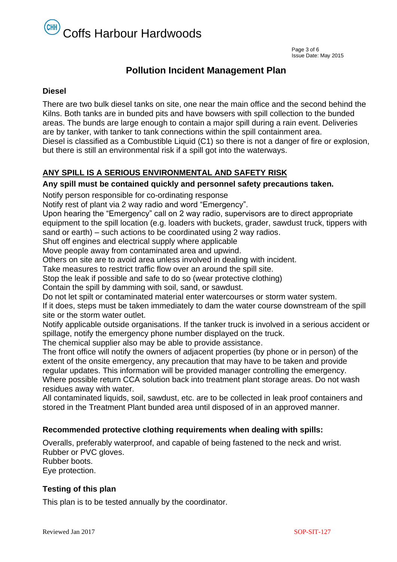# Coffs Harbour Hardwoods

# **Pollution Incident Management Plan**

#### **Diesel**

There are two bulk diesel tanks on site, one near the main office and the second behind the Kilns. Both tanks are in bunded pits and have bowsers with spill collection to the bunded areas. The bunds are large enough to contain a major spill during a rain event. Deliveries are by tanker, with tanker to tank connections within the spill containment area. Diesel is classified as a Combustible Liquid (C1) so there is not a danger of fire or explosion, but there is still an environmental risk if a spill got into the waterways.

## **ANY SPILL IS A SERIOUS ENVIRONMENTAL AND SAFETY RISK**

#### **Any spill must be contained quickly and personnel safety precautions taken.**

Notify person responsible for co-ordinating response

Notify rest of plant via 2 way radio and word "Emergency".

Upon hearing the "Emergency" call on 2 way radio, supervisors are to direct appropriate equipment to the spill location (e.g. loaders with buckets, grader, sawdust truck, tippers with sand or earth) – such actions to be coordinated using 2 way radios.

Shut off engines and electrical supply where applicable

Move people away from contaminated area and upwind.

Others on site are to avoid area unless involved in dealing with incident.

Take measures to restrict traffic flow over an around the spill site.

Stop the leak if possible and safe to do so (wear protective clothing)

Contain the spill by damming with soil, sand, or sawdust.

Do not let spilt or contaminated material enter watercourses or storm water system.

If it does, steps must be taken immediately to dam the water course downstream of the spill site or the storm water outlet.

Notify applicable outside organisations. If the tanker truck is involved in a serious accident or spillage, notify the emergency phone number displayed on the truck.

The chemical supplier also may be able to provide assistance.

The front office will notify the owners of adjacent properties (by phone or in person) of the extent of the onsite emergency, any precaution that may have to be taken and provide regular updates. This information will be provided manager controlling the emergency. Where possible return CCA solution back into treatment plant storage areas. Do not wash residues away with water.

All contaminated liquids, soil, sawdust, etc. are to be collected in leak proof containers and stored in the Treatment Plant bunded area until disposed of in an approved manner.

#### **Recommended protective clothing requirements when dealing with spills:**

Overalls, preferably waterproof, and capable of being fastened to the neck and wrist. Rubber or PVC gloves. Rubber boots. Eye protection.

#### **Testing of this plan**

This plan is to be tested annually by the coordinator.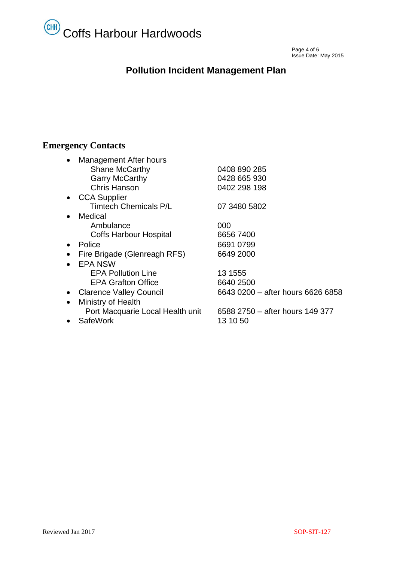# Coffs Harbour Hardwoods

Page 4 of 6  $P$ Issue Date: May 2015

# **Pollution Incident Management Plan**

# **Emergency Contacts**

| <b>Management After hours</b><br><b>Shane McCarthy</b><br><b>Garry McCarthy</b><br><b>Chris Hanson</b><br><b>CCA Supplier</b> | 0408 890 285<br>0428 665 930<br>0402 298 198 |
|-------------------------------------------------------------------------------------------------------------------------------|----------------------------------------------|
| <b>Timtech Chemicals P/L</b>                                                                                                  | 07 3480 5802                                 |
| Medical                                                                                                                       |                                              |
| Ambulance                                                                                                                     | 000                                          |
| <b>Coffs Harbour Hospital</b>                                                                                                 | 6656 7400                                    |
| Police                                                                                                                        | 6691 0799                                    |
| Fire Brigade (Glenreagh RFS)                                                                                                  | 6649 2000                                    |
| <b>EPA NSW</b>                                                                                                                |                                              |
| <b>EPA Pollution Line</b>                                                                                                     | 13 1555                                      |
| <b>EPA Grafton Office</b>                                                                                                     | 6640 2500                                    |
| <b>Clarence Valley Council</b>                                                                                                | 6643 0200 - after hours 6626 6858            |
| Ministry of Health<br>$\bullet$                                                                                               |                                              |
| Port Macquarie Local Health unit                                                                                              | 6588 2750 - after hours 149 377              |
| <b>SafeWork</b>                                                                                                               | 13 10 50                                     |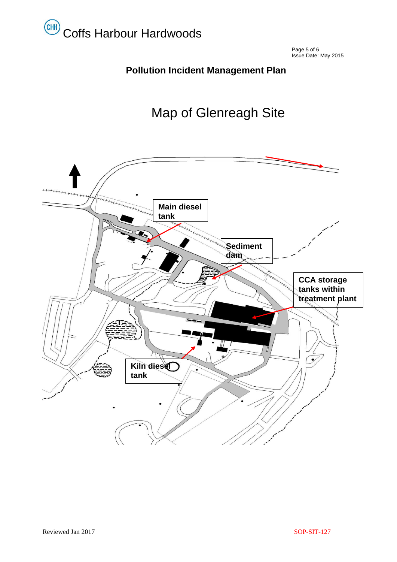

Page 5 of 6  $\sim$  Page 5 of 6  $\sim$ Issue Date: May 2015

# **Pollution Incident Management Plan**

# Map of Glenreagh Site